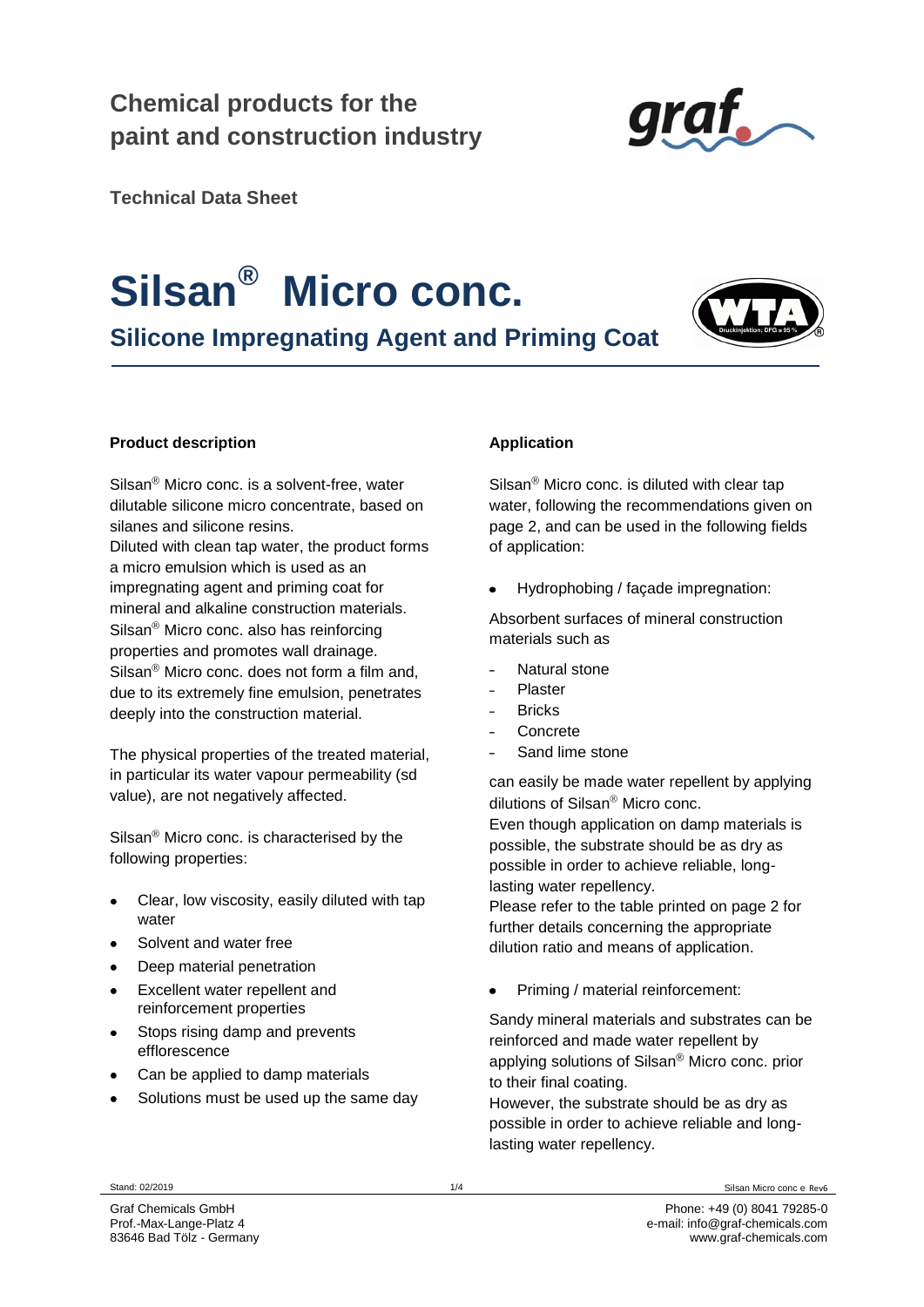### **Chemical products for the paint and construction industry**



**Technical Data Sheet**

## **Silsan® Micro conc.**

**Silicone Impregnating Agent and Priming Coat** 



#### **Product description**

 $Silsan^@$  Micro conc. is a solvent-free, water dilutable silicone micro concentrate, based on silanes and silicone resins.

Diluted with clean tap water, the product forms a micro emulsion which is used as an impregnating agent and priming coat for mineral and alkaline construction materials.  $Silsan<sup>®</sup>$  Micro conc. also has reinforcing properties and promotes wall drainage.  $\text{Silsan}^{\circledR}$  Micro conc. does not form a film and. due to its extremely fine emulsion, penetrates deeply into the construction material.

The physical properties of the treated material, in particular its water vapour permeability (sd value), are not negatively affected.

Silsan $<sup>®</sup>$  Micro conc. is characterised by the</sup> following properties:

- Clear, low viscosity, easily diluted with tap water
- Solvent and water free
- Deep material penetration
- Excellent water repellent and reinforcement properties
- Stops rising damp and prevents efflorescence
- Can be applied to damp materials
- Solutions must be used up the same day

#### **Application**

 $\text{Silsan}^{\circledR}$  Micro conc. is diluted with clear tap water, following the recommendations given on page 2, and can be used in the following fields of application:

Hydrophobing / façade impregnation:

Absorbent surfaces of mineral construction materials such as

- Natural stone
- Plaster
- **Bricks**
- Concrete
- Sand lime stone

can easily be made water repellent by applying dilutions of Silsan $^{\circledR}$  Micro conc.

Even though application on damp materials is possible, the substrate should be as dry as possible in order to achieve reliable, longlasting water repellency.

Please refer to the table printed on page 2 for further details concerning the appropriate dilution ratio and means of application.

Priming / material reinforcement:

Sandy mineral materials and substrates can be reinforced and made water repellent by applying solutions of Silsan $^{\circ}$  Micro conc. prior to their final coating.

However, the substrate should be as dry as possible in order to achieve reliable and longlasting water repellency.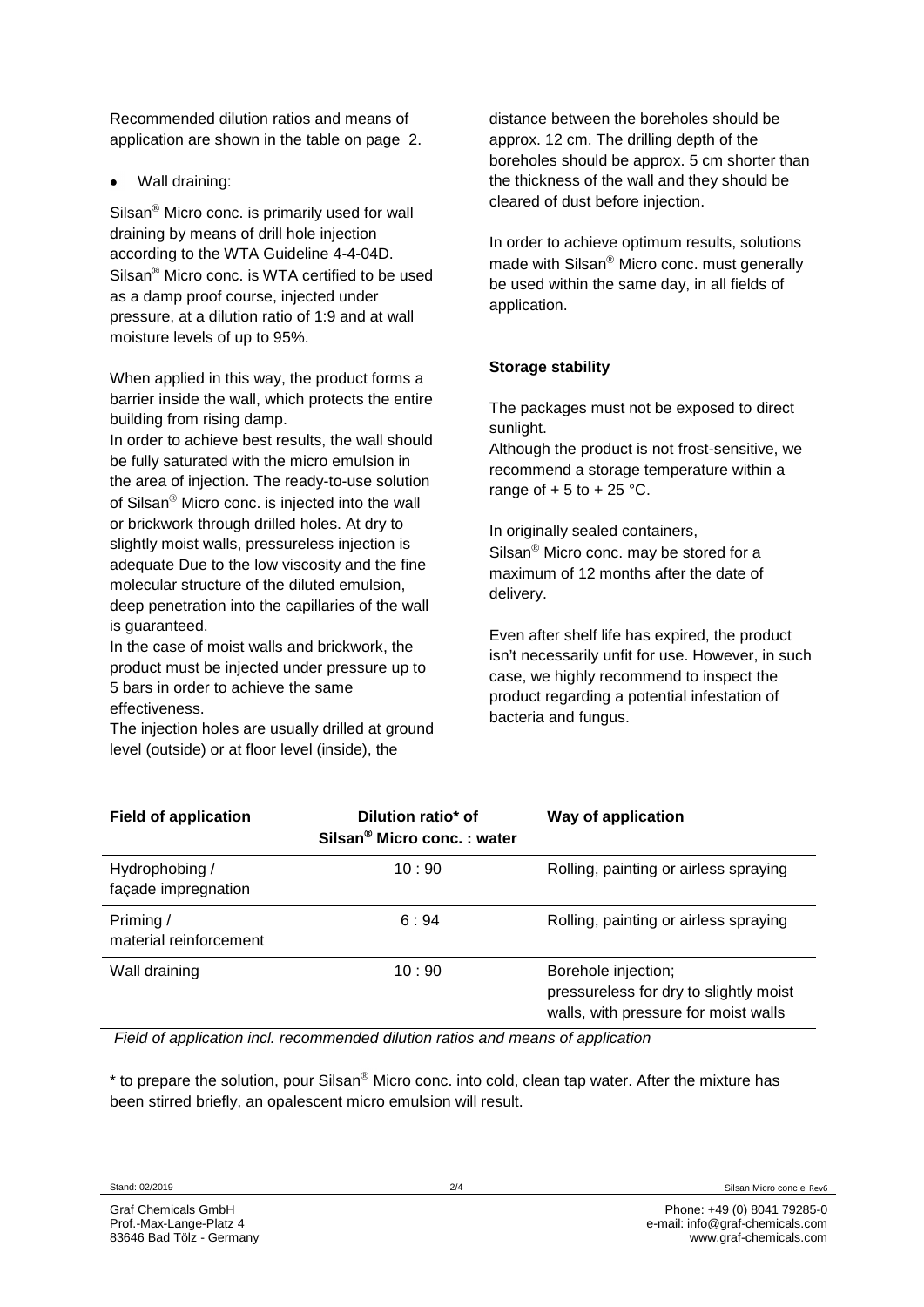Recommended dilution ratios and means of application are shown in the table on page 2.

Wall draining:

 $\text{Silsan}^{\circledR}$  Micro conc. is primarily used for wall draining by means of drill hole injection according to the WTA Guideline 4-4-04D. Silsan $^{\circledR}$  Micro conc. is WTA certified to be used as a damp proof course, injected under pressure, at a dilution ratio of 1:9 and at wall moisture levels of up to 95%.

When applied in this way, the product forms a barrier inside the wall, which protects the entire building from rising damp.

In order to achieve best results, the wall should be fully saturated with the micro emulsion in the area of injection. The ready-to-use solution of Silsan $^{\circledR}$  Micro conc. is injected into the wall or brickwork through drilled holes. At dry to slightly moist walls, pressureless injection is adequate Due to the low viscosity and the fine molecular structure of the diluted emulsion, deep penetration into the capillaries of the wall is guaranteed.

In the case of moist walls and brickwork, the product must be injected under pressure up to 5 bars in order to achieve the same effectiveness.

The injection holes are usually drilled at ground level (outside) or at floor level (inside), the

distance between the boreholes should be approx. 12 cm. The drilling depth of the boreholes should be approx. 5 cm shorter than the thickness of the wall and they should be cleared of dust before injection.

In order to achieve optimum results, solutions made with Silsan<sup>®</sup> Micro conc. must generally be used within the same day, in all fields of application.

#### **Storage stability**

The packages must not be exposed to direct sunlight.

Although the product is not frost-sensitive, we recommend a storage temperature within a range of  $+5$  to  $+25$  °C.

In originally sealed containers, Silsan $^{\circledR}$  Micro conc. may be stored for a maximum of 12 months after the date of delivery.

Even after shelf life has expired, the product isn't necessarily unfit for use. However, in such case, we highly recommend to inspect the product regarding a potential infestation of bacteria and fungus.

| <b>Field of application</b>           | Dilution ratio* of<br>Silsan <sup>®</sup> Micro conc.: water | Way of application                                                                                    |
|---------------------------------------|--------------------------------------------------------------|-------------------------------------------------------------------------------------------------------|
| Hydrophobing /<br>façade impregnation | 10:90                                                        | Rolling, painting or airless spraying                                                                 |
| Priming /<br>material reinforcement   | 6:94                                                         | Rolling, painting or airless spraying                                                                 |
| Wall draining                         | 10:90                                                        | Borehole injection;<br>pressureless for dry to slightly moist<br>walls, with pressure for moist walls |

*Field of application incl. recommended dilution ratios and means of application*

 $*$  to prepare the solution, pour Silsan<sup>®</sup> Micro conc. into cold, clean tap water. After the mixture has been stirred briefly, an opalescent micro emulsion will result.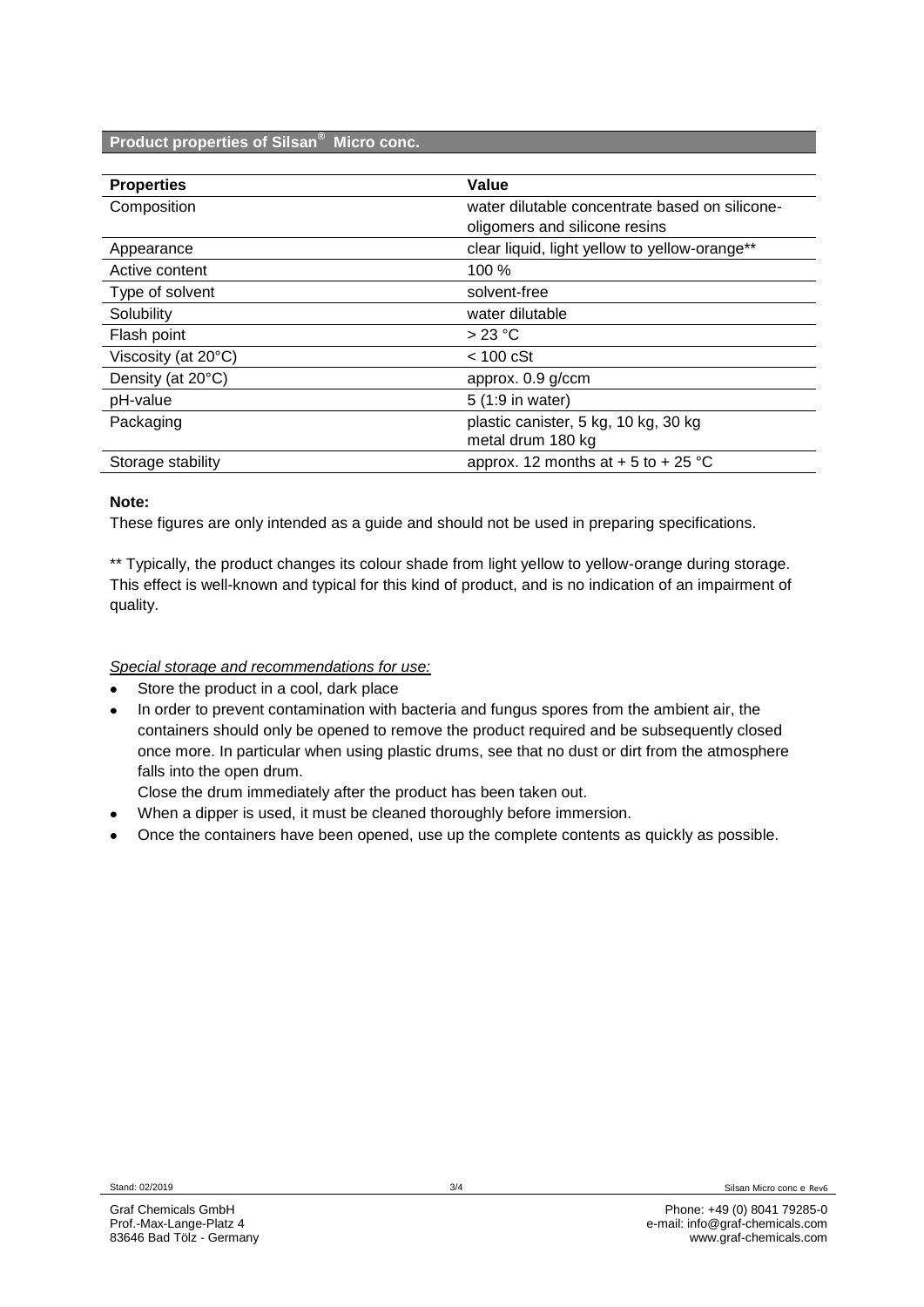#### **Product properties of Silsan® Micro conc.**

| <b>Properties</b>             | Value                                          |
|-------------------------------|------------------------------------------------|
| Composition                   | water dilutable concentrate based on silicone- |
|                               | oligomers and silicone resins                  |
| Appearance                    | clear liquid, light yellow to yellow-orange**  |
| Active content                | 100 %                                          |
| Type of solvent               | solvent-free                                   |
| Solubility                    | water dilutable                                |
| Flash point                   | $>23$ °C                                       |
| Viscosity (at $20^{\circ}$ C) | $< 100$ cSt                                    |
| Density (at 20°C)             | approx. 0.9 g/ccm                              |
| pH-value                      | 5 (1:9 in water)                               |
| Packaging                     | plastic canister, 5 kg, 10 kg, 30 kg           |
|                               | metal drum 180 kg                              |
| Storage stability             | approx. 12 months at $+$ 5 to $+$ 25 °C        |

#### **Note:**

These figures are only intended as a guide and should not be used in preparing specifications.

\*\* Typically, the product changes its colour shade from light yellow to yellow-orange during storage. This effect is well-known and typical for this kind of product, and is no indication of an impairment of quality.

#### *Special storage and recommendations for use:*

- Store the product in a cool, dark place  $\bullet$
- In order to prevent contamination with bacteria and fungus spores from the ambient air, the containers should only be opened to remove the product required and be subsequently closed once more. In particular when using plastic drums, see that no dust or dirt from the atmosphere falls into the open drum.

Close the drum immediately after the product has been taken out.

- When a dipper is used, it must be cleaned thoroughly before immersion.
- Once the containers have been opened, use up the complete contents as quickly as possible.